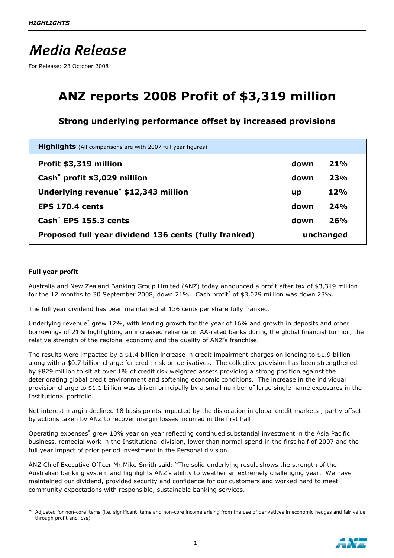# **Media Release**

For Release: 23 October 2008

## **ANZ reports 2008 Profit of \$3,319 million**

### **Strong underlying performance offset by increased provisions**

| <b>Highlights</b> (All comparisons are with 2007 full year figures) |           |     |
|---------------------------------------------------------------------|-----------|-----|
| Profit \$3,319 million                                              | down      | 21% |
| Cash <sup>*</sup> profit \$3,029 million                            | down      | 23% |
| Underlying revenue <sup>*</sup> \$12,343 million                    | up        | 12% |
| <b>EPS 170.4 cents</b>                                              | down      | 24% |
| Cash <sup>*</sup> EPS 155.3 cents                                   | down      | 26% |
| Proposed full year dividend 136 cents (fully franked)               | unchanged |     |

#### **Full year profit**

Australia and New Zealand Banking Group Limited (ANZ) today announced a profit after tax of \$3,319 million for the 12 months to 30 September 2008, down 21%. Cash profit<sup>\*</sup> of \$3,029 million was down 23%.

The full year dividend has been maintained at 136 cents per share fully franked.

Underlying revenue<sup>\*</sup> grew 12%, with lending growth for the year of 16% and growth in deposits and other borrowings of 21% highlighting an increased reliance on AA-rated banks during the global financial turmoil, the relative strength of the regional economy and the quality of ANZ's franchise.

The results were impacted by a \$1.4 billion increase in credit impairment charges on lending to \$1.9 billion along with a \$0.7 billion charge for credit risk on derivatives. The collective provision has been strengthened by \$829 million to sit at over 1% of credit risk weighted assets providing a strong position against the deteriorating global credit environment and softening economic conditions. The increase in the individual provision charge to \$1.1 billion was driven principally by a small number of large single name exposures in the Institutional portfolio.

Net interest margin declined 18 basis points impacted by the dislocation in global credit markets , partly offset by actions taken by ANZ to recover margin losses incurred in the first half.

Operating expenses<sup>\*</sup> grew 10% year on year reflecting continued substantial investment in the Asia Pacific business, remedial work in the Institutional division, lower than normal spend in the first half of 2007 and the full year impact of prior period investment in the Personal division.

ANZ Chief Executive Officer Mr Mike Smith said: "The solid underlying result shows the strength of the Australian banking system and highlights ANZ's ability to weather an extremely challenging year. We have maintained our dividend, provided security and confidence for our customers and worked hard to meet community expectations with responsible, sustainable banking services.

Adjusted for non-core items (i.e. significant items and non-core income arising from the use of derivatives in economic hedges and fair value through profit and loss)

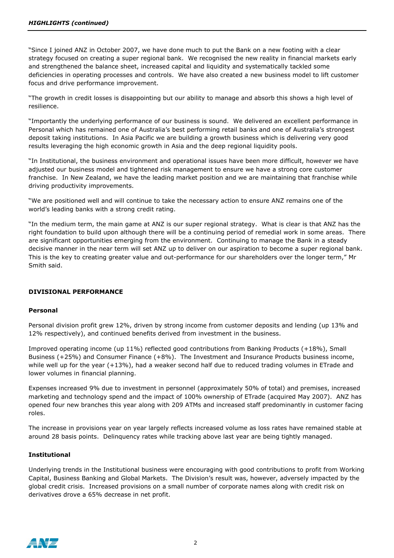"Since I joined ANZ in October 2007, we have done much to put the Bank on a new footing with a clear strategy focused on creating a super regional bank. We recognised the new reality in financial markets early and strengthened the balance sheet, increased capital and liquidity and systematically tackled some deficiencies in operating processes and controls. We have also created a new business model to lift customer focus and drive performance improvement.

"The growth in credit losses is disappointing but our ability to manage and absorb this shows a high level of resilience.

"Importantly the underlying performance of our business is sound. We delivered an excellent performance in Personal which has remained one of Australia's best performing retail banks and one of Australia's strongest deposit taking institutions. In Asia Pacific we are building a growth business which is delivering very good results leveraging the high economic growth in Asia and the deep regional liquidity pools.

"In Institutional, the business environment and operational issues have been more difficult, however we have adjusted our business model and tightened risk management to ensure we have a strong core customer franchise. In New Zealand, we have the leading market position and we are maintaining that franchise while driving productivity improvements.

"We are positioned well and will continue to take the necessary action to ensure ANZ remains one of the world's leading banks with a strong credit rating.

"In the medium term, the main game at ANZ is our super regional strategy. What is clear is that ANZ has the right foundation to build upon although there will be a continuing period of remedial work in some areas. There are significant opportunities emerging from the environment. Continuing to manage the Bank in a steady decisive manner in the near term will set ANZ up to deliver on our aspiration to become a super regional bank. This is the key to creating greater value and out-performance for our shareholders over the longer term," Mr Smith said.

#### **DIVISIONAL PERFORMANCE**

#### **Personal**

Personal division profit grew 12%, driven by strong income from customer deposits and lending (up 13% and 12% respectively), and continued benefits derived from investment in the business.

Improved operating income (up 11%) reflected good contributions from Banking Products (+18%), Small Business (+25%) and Consumer Finance (+8%). The Investment and Insurance Products business income, while well up for the year (+13%), had a weaker second half due to reduced trading volumes in ETrade and lower volumes in financial planning.

Expenses increased 9% due to investment in personnel (approximately 50% of total) and premises, increased marketing and technology spend and the impact of 100% ownership of ETrade (acquired May 2007). ANZ has opened four new branches this year along with 209 ATMs and increased staff predominantly in customer facing roles.

The increase in provisions year on year largely reflects increased volume as loss rates have remained stable at around 28 basis points. Delinquency rates while tracking above last year are being tightly managed.

#### **Institutional**

Underlying trends in the Institutional business were encouraging with good contributions to profit from Working Capital, Business Banking and Global Markets. The Division's result was, however, adversely impacted by the global credit crisis. Increased provisions on a small number of corporate names along with credit risk on derivatives drove a 65% decrease in net profit.

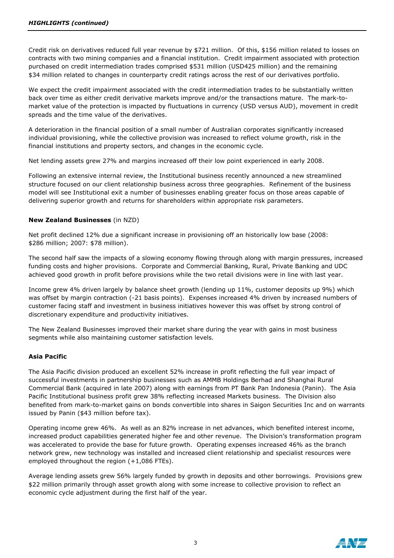Credit risk on derivatives reduced full year revenue by \$721 million. Of this, \$156 million related to losses on contracts with two mining companies and a financial institution. Credit impairment associated with protection purchased on credit intermediation trades comprised \$531 million (USD425 million) and the remaining \$34 million related to changes in counterparty credit ratings across the rest of our derivatives portfolio.

We expect the credit impairment associated with the credit intermediation trades to be substantially written back over time as either credit derivative markets improve and/or the transactions mature. The mark-tomarket value of the protection is impacted by fluctuations in currency (USD versus AUD), movement in credit spreads and the time value of the derivatives.

A deterioration in the financial position of a small number of Australian corporates significantly increased individual provisioning, while the collective provision was increased to reflect volume growth, risk in the financial institutions and property sectors, and changes in the economic cycle.

Net lending assets grew 27% and margins increased off their low point experienced in early 2008.

Following an extensive internal review, the Institutional business recently announced a new streamlined structure focused on our client relationship business across three geographies. Refinement of the business model will see Institutional exit a number of businesses enabling greater focus on those areas capable of delivering superior growth and returns for shareholders within appropriate risk parameters.

#### **New Zealand Businesses** (in NZD)

Net profit declined 12% due a significant increase in provisioning off an historically low base (2008: \$286 million; 2007: \$78 million).

The second half saw the impacts of a slowing economy flowing through along with margin pressures, increased funding costs and higher provisions. Corporate and Commercial Banking, Rural, Private Banking and UDC achieved good growth in profit before provisions while the two retail divisions were in line with last year.

Income grew 4% driven largely by balance sheet growth (lending up 11%, customer deposits up 9%) which was offset by margin contraction (-21 basis points). Expenses increased 4% driven by increased numbers of customer facing staff and investment in business initiatives however this was offset by strong control of discretionary expenditure and productivity initiatives.

The New Zealand Businesses improved their market share during the year with gains in most business segments while also maintaining customer satisfaction levels.

#### **Asia Pacific**

The Asia Pacific division produced an excellent 52% increase in profit reflecting the full year impact of successful investments in partnership businesses such as AMMB Holdings Berhad and Shanghai Rural Commercial Bank (acquired in late 2007) along with earnings from PT Bank Pan Indonesia (Panin). The Asia Pacific Institutional business profit grew 38% reflecting increased Markets business. The Division also benefited from mark-to-market gains on bonds convertible into shares in Saigon Securities Inc and on warrants issued by Panin (\$43 million before tax).

Operating income grew 46%. As well as an 82% increase in net advances, which benefited interest income, increased product capabilities generated higher fee and other revenue. The Division's transformation program was accelerated to provide the base for future growth. Operating expenses increased 46% as the branch network grew, new technology was installed and increased client relationship and specialist resources were employed throughout the region (+1,086 FTEs).

Average lending assets grew 56% largely funded by growth in deposits and other borrowings. Provisions grew \$22 million primarily through asset growth along with some increase to collective provision to reflect an economic cycle adjustment during the first half of the year.